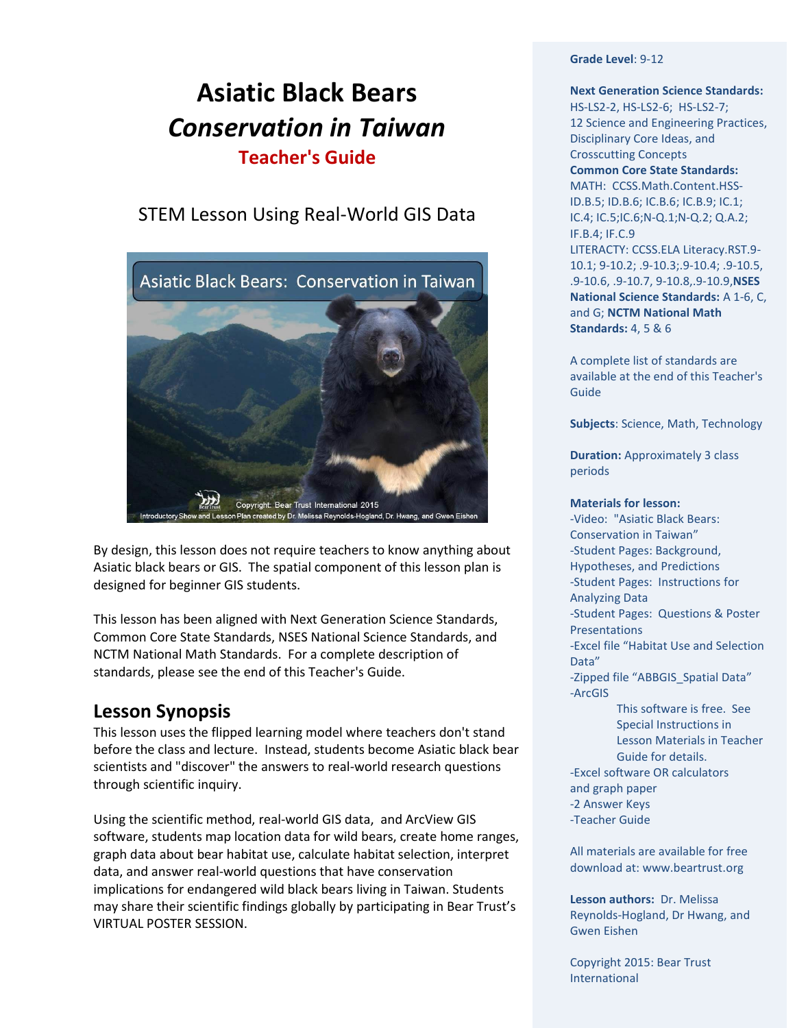# **Asiatic Black Bears** *Conservation in Taiwan* **Teacher's Guide**

# STEM Lesson Using Real-World GIS Data



By design, this lesson does not require teachers to know anything about Asiatic black bears or GIS. The spatial component of this lesson plan is designed for beginner GIS students.

This lesson has been aligned with Next Generation Science Standards, Common Core State Standards, NSES National Science Standards, and NCTM National Math Standards. For a complete description of standards, please see the end of this Teacher's Guide.

# **Lesson Synopsis**

This lesson uses the flipped learning model where teachers don't stand before the class and lecture. Instead, students become Asiatic black bear scientists and "discover" the answers to real-world research questions through scientific inquiry.

Using the scientific method, real-world GIS data, and ArcView GIS software, students map location data for wild bears, create home ranges, graph data about bear habitat use, calculate habitat selection, interpret data, and answer real-world questions that have conservation implications for endangered wild black bears living in Taiwan. Students may share their scientific findings globally by participating in Bear Trust's VIRTUAL POSTER SESSION.

### **Grade Level**: 9-12

**Next Generation Science Standards:**  HS-LS2-2, HS-LS2-6;HS-LS2-7; 12 Science and Engineering Practices, Disciplinary Core Ideas, and Crosscutting Concepts **Common Core State Standards:**  MATH: [CCSS.Math.Content.HSS-](http://www.corestandards.org/Math/Content/HSS/ID/A/1)[ID.B.5;](http://www.corestandards.org/Math/Content/HSS/ID/B/5) [ID.B.6;](http://www.corestandards.org/Math/Content/HSS/ID/B/6) IC.B.6; IC.B.9; IC.1; IC.4; IC.5;IC.[6;N-Q.1;](http://www.corestandards.org/Math/Content/HSN/Q/A/1)N-Q.2; Q.A.2; IF.B.4; IF.C.9 LITERACTY: [CCSS.ELA Literacy.RST.9-](http://www.corestandards.org/ELA-Literacy/RST/9-10/1/) [10.1;](http://www.corestandards.org/ELA-Literacy/RST/9-10/1/) 9-10.2; .9-10.3;.9-10.4; .9-10.5, .9-10.6, .9-10.7, 9-10.8,.9-10.9,**NSES National Science Standards:** A 1-6, C, and G; **NCTM National Math Standards:** 4, 5 & 6

A complete list of standards are available at the end of this Teacher's Guide

**Subjects**: Science, Math, Technology

**Duration: Approximately 3 class** periods

#### **Materials for lesson:**

-Video: "Asiatic Black Bears: Conservation in Taiwan" -Student Pages: Background, Hypotheses, and Predictions -Student Pages: Instructions for Analyzing Data -Student Pages: Questions & Poster Presentations -Excel file "Habitat Use and Selection Data" -Zipped file "ABBGIS\_Spatial Data" -ArcGIS This software is free. See

Special Instructions in Lesson Materials in Teacher Guide for details. -Excel software OR calculators and graph paper -2 Answer Keys -Teacher Guide

All materials are available for free download at: www.beartrust.org

**Lesson authors:** Dr. Melissa Reynolds-Hogland, Dr Hwang, and Gwen Eishen

Copyright 2015: Bear Trust International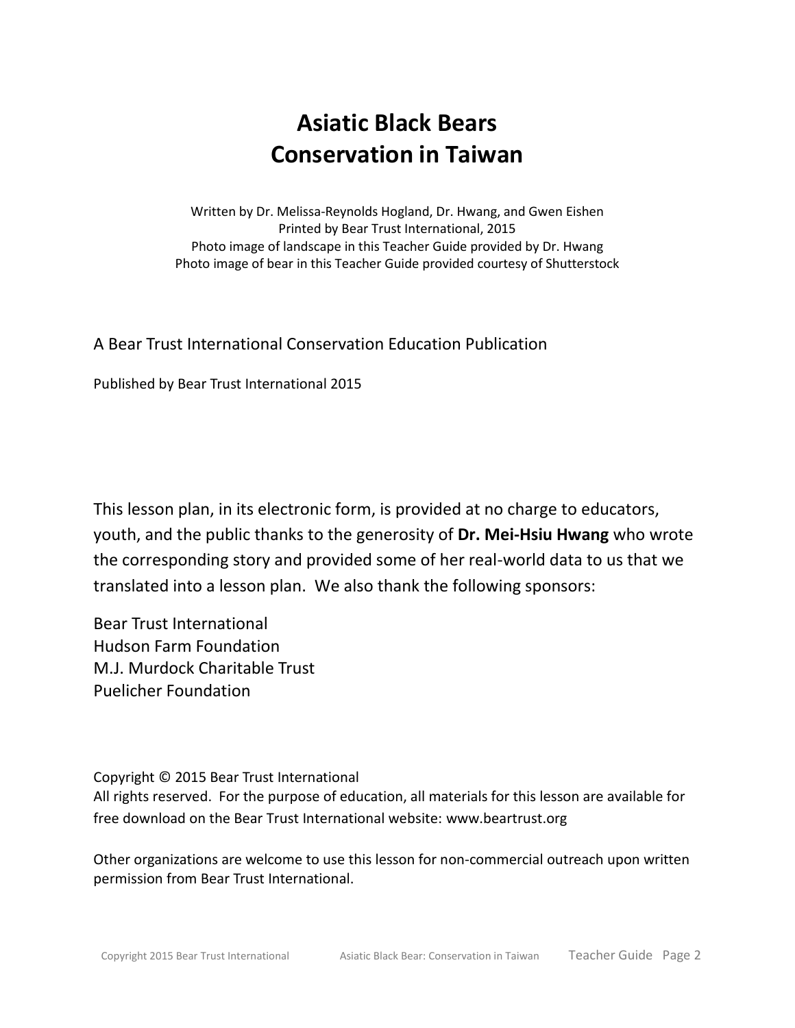# **Asiatic Black Bears Conservation in Taiwan**

Written by Dr. Melissa-Reynolds Hogland, Dr. Hwang, and Gwen Eishen Printed by Bear Trust International, 2015 Photo image of landscape in this Teacher Guide provided by Dr. Hwang Photo image of bear in this Teacher Guide provided courtesy of Shutterstock

### A Bear Trust International Conservation Education Publication

Published by Bear Trust International 2015

This lesson plan, in its electronic form, is provided at no charge to educators, youth, and the public thanks to the generosity of **Dr. Mei-Hsiu Hwang** who wrote the corresponding story and provided some of her real-world data to us that we translated into a lesson plan. We also thank the following sponsors:

Bear Trust International Hudson Farm Foundation M.J. Murdock Charitable Trust Puelicher Foundation

Copyright © 2015 Bear Trust International All rights reserved. For the purpose of education, all materials for this lesson are available for free download on the Bear Trust International website: [www.beartrust.org](http://www.beartrust.org/)

Other organizations are welcome to use this lesson for non-commercial outreach upon written permission from Bear Trust International.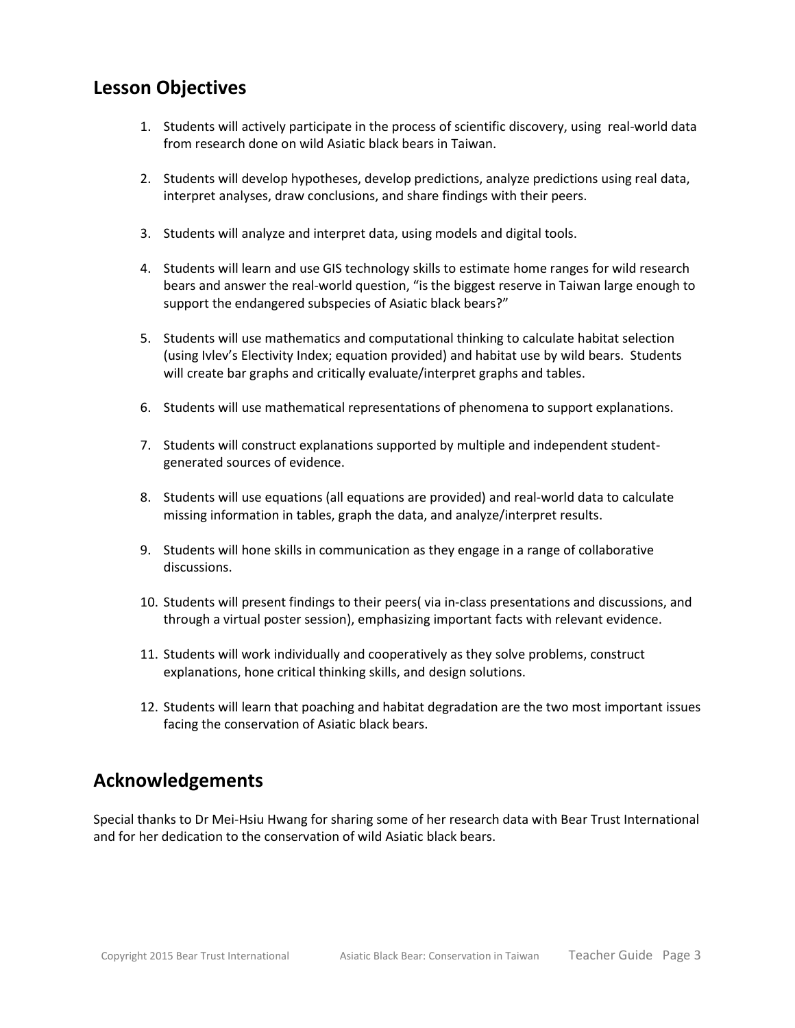### **Lesson Objectives**

- 1. Students will actively participate in the process of scientific discovery, using real-world data from research done on wild Asiatic black bears in Taiwan.
- 2. Students will develop hypotheses, develop predictions, analyze predictions using real data, interpret analyses, draw conclusions, and share findings with their peers.
- 3. Students will analyze and interpret data, using models and digital tools.
- 4. Students will learn and use GIS technology skills to estimate home ranges for wild research bears and answer the real-world question, "is the biggest reserve in Taiwan large enough to support the endangered subspecies of Asiatic black bears?"
- 5. Students will use mathematics and computational thinking to calculate habitat selection (using Ivlev's Electivity Index; equation provided) and habitat use by wild bears. Students will create bar graphs and critically evaluate/interpret graphs and tables.
- 6. Students will use mathematical representations of phenomena to support explanations.
- 7. Students will construct explanations supported by multiple and independent studentgenerated sources of evidence.
- 8. Students will use equations (all equations are provided) and real-world data to calculate missing information in tables, graph the data, and analyze/interpret results.
- 9. Students will hone skills in communication as they engage in a range of collaborative discussions.
- 10. Students will present findings to their peers( via in-class presentations and discussions, and through a virtual poster session), emphasizing important facts with relevant evidence.
- 11. Students will work individually and cooperatively as they solve problems, construct explanations, hone critical thinking skills, and design solutions.
- 12. Students will learn that poaching and habitat degradation are the two most important issues facing the conservation of Asiatic black bears.

# **Acknowledgements**

Special thanks to Dr Mei-Hsiu Hwang for sharing some of her research data with Bear Trust International and for her dedication to the conservation of wild Asiatic black bears.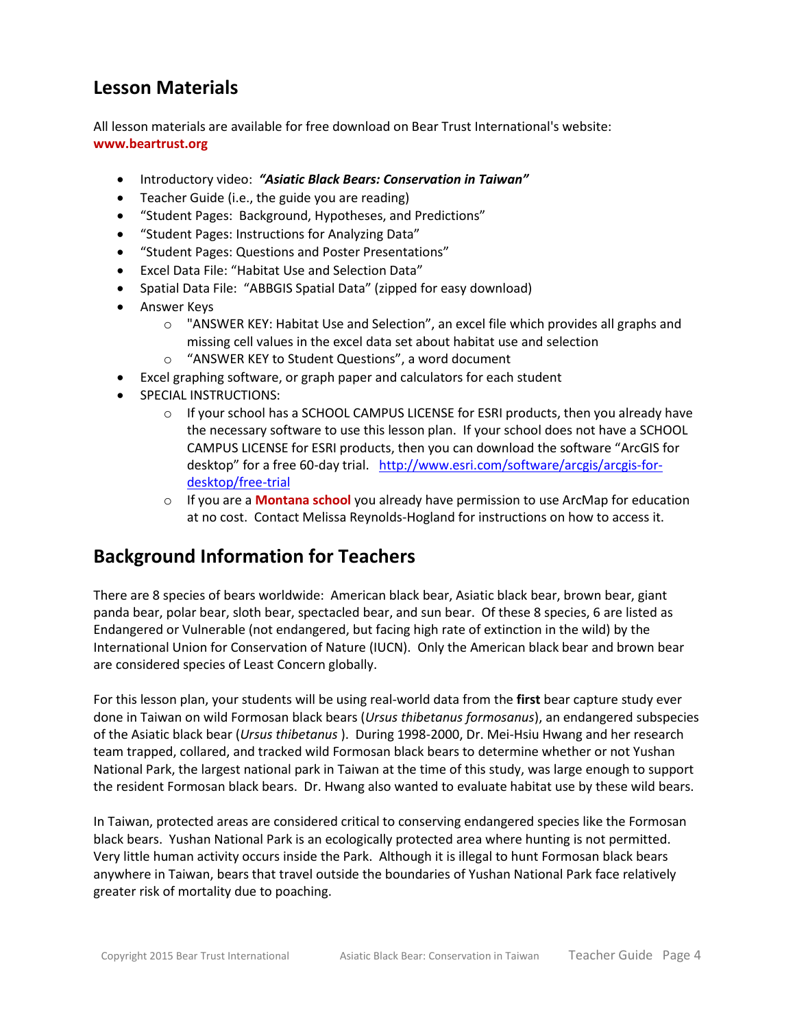# **Lesson Materials**

All lesson materials are available for free download on Bear Trust International's website: **www.beartrust.org**

- Introductory video: *"Asiatic Black Bears: Conservation in Taiwan"*
- Teacher Guide (i.e., the guide you are reading)
- "Student Pages: Background, Hypotheses, and Predictions"
- "Student Pages: Instructions for Analyzing Data"
- "Student Pages: Questions and Poster Presentations"
- Excel Data File: "Habitat Use and Selection Data"
- Spatial Data File: "ABBGIS Spatial Data" (zipped for easy download)
- Answer Keys
	- $\circ$  "ANSWER KEY: Habitat Use and Selection", an excel file which provides all graphs and missing cell values in the excel data set about habitat use and selection
	- o "ANSWER KEY to Student Questions", a word document
- Excel graphing software, or graph paper and calculators for each student
- SPECIAL INSTRUCTIONS:
	- $\circ$  If your school has a SCHOOL CAMPUS LICENSE for ESRI products, then you already have the necessary software to use this lesson plan. If your school does not have a SCHOOL CAMPUS LICENSE for ESRI products, then you can download the software "ArcGIS for desktop" for a free 60-day trial. [http://www.esri.com/software/arcgis/arcgis-for](http://www.esri.com/software/arcgis/arcgis-for-desktop/free-trial)[desktop/free-trial](http://www.esri.com/software/arcgis/arcgis-for-desktop/free-trial)
	- o If you are a **Montana school** you already have permission to use ArcMap for education at no cost. Contact Melissa Reynolds-Hogland for instructions on how to access it.

# **Background Information for Teachers**

There are 8 species of bears worldwide: American black bear, Asiatic black bear, brown bear, giant panda bear, polar bear, sloth bear, spectacled bear, and sun bear. Of these 8 species, 6 are listed as Endangered or Vulnerable (not endangered, but facing high rate of extinction in the wild) by the International Union for Conservation of Nature (IUCN). Only the American black bear and brown bear are considered species of Least Concern globally.

For this lesson plan, your students will be using real-world data from the **first** bear capture study ever done in Taiwan on wild Formosan black bears (*Ursus thibetanus formosanus*), an endangered subspecies of the Asiatic black bear (*Ursus thibetanus* ). During 1998-2000, Dr. Mei-Hsiu Hwang and her research team trapped, collared, and tracked wild Formosan black bears to determine whether or not Yushan National Park, the largest national park in Taiwan at the time of this study, was large enough to support the resident Formosan black bears. Dr. Hwang also wanted to evaluate habitat use by these wild bears.

In Taiwan, protected areas are considered critical to conserving endangered species like the Formosan black bears. Yushan National Park is an ecologically protected area where hunting is not permitted. Very little human activity occurs inside the Park. Although it is illegal to hunt Formosan black bears anywhere in Taiwan, bears that travel outside the boundaries of Yushan National Park face relatively greater risk of mortality due to poaching.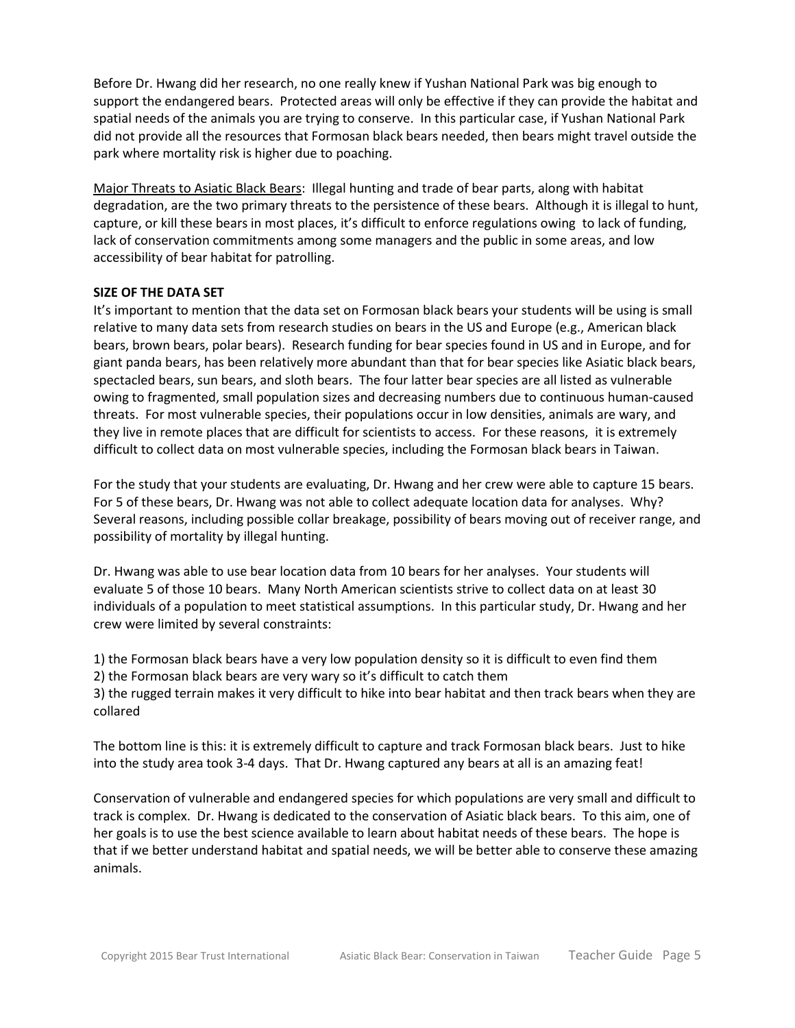Before Dr. Hwang did her research, no one really knew if Yushan National Park was big enough to support the endangered bears. Protected areas will only be effective if they can provide the habitat and spatial needs of the animals you are trying to conserve. In this particular case, if Yushan National Park did not provide all the resources that Formosan black bears needed, then bears might travel outside the park where mortality risk is higher due to poaching.

Major Threats to Asiatic Black Bears: Illegal hunting and trade of bear parts, along with habitat degradation, are the two primary threats to the persistence of these bears. Although it is illegal to hunt, capture, or kill these bears in most places, it's difficult to enforce regulations owing to lack of funding, lack of conservation commitments among some managers and the public in some areas, and low accessibility of bear habitat for patrolling.

### **SIZE OF THE DATA SET**

It's important to mention that the data set on Formosan black bears your students will be using is small relative to many data sets from research studies on bears in the US and Europe (e.g., American black bears, brown bears, polar bears). Research funding for bear species found in US and in Europe, and for giant panda bears, has been relatively more abundant than that for bear species like Asiatic black bears, spectacled bears, sun bears, and sloth bears. The four latter bear species are all listed as vulnerable owing to fragmented, small population sizes and decreasing numbers due to continuous human-caused threats. For most vulnerable species, their populations occur in low densities, animals are wary, and they live in remote places that are difficult for scientists to access. For these reasons, it is extremely difficult to collect data on most vulnerable species, including the Formosan black bears in Taiwan.

For the study that your students are evaluating, Dr. Hwang and her crew were able to capture 15 bears. For 5 of these bears, Dr. Hwang was not able to collect adequate location data for analyses. Why? Several reasons, including possible collar breakage, possibility of bears moving out of receiver range, and possibility of mortality by illegal hunting.

Dr. Hwang was able to use bear location data from 10 bears for her analyses. Your students will evaluate 5 of those 10 bears. Many North American scientists strive to collect data on at least 30 individuals of a population to meet statistical assumptions. In this particular study, Dr. Hwang and her crew were limited by several constraints:

1) the Formosan black bears have a very low population density so it is difficult to even find them

2) the Formosan black bears are very wary so it's difficult to catch them

3) the rugged terrain makes it very difficult to hike into bear habitat and then track bears when they are collared

The bottom line is this: it is extremely difficult to capture and track Formosan black bears. Just to hike into the study area took 3-4 days. That Dr. Hwang captured any bears at all is an amazing feat!

Conservation of vulnerable and endangered species for which populations are very small and difficult to track is complex. Dr. Hwang is dedicated to the conservation of Asiatic black bears. To this aim, one of her goals is to use the best science available to learn about habitat needs of these bears. The hope is that if we better understand habitat and spatial needs, we will be better able to conserve these amazing animals.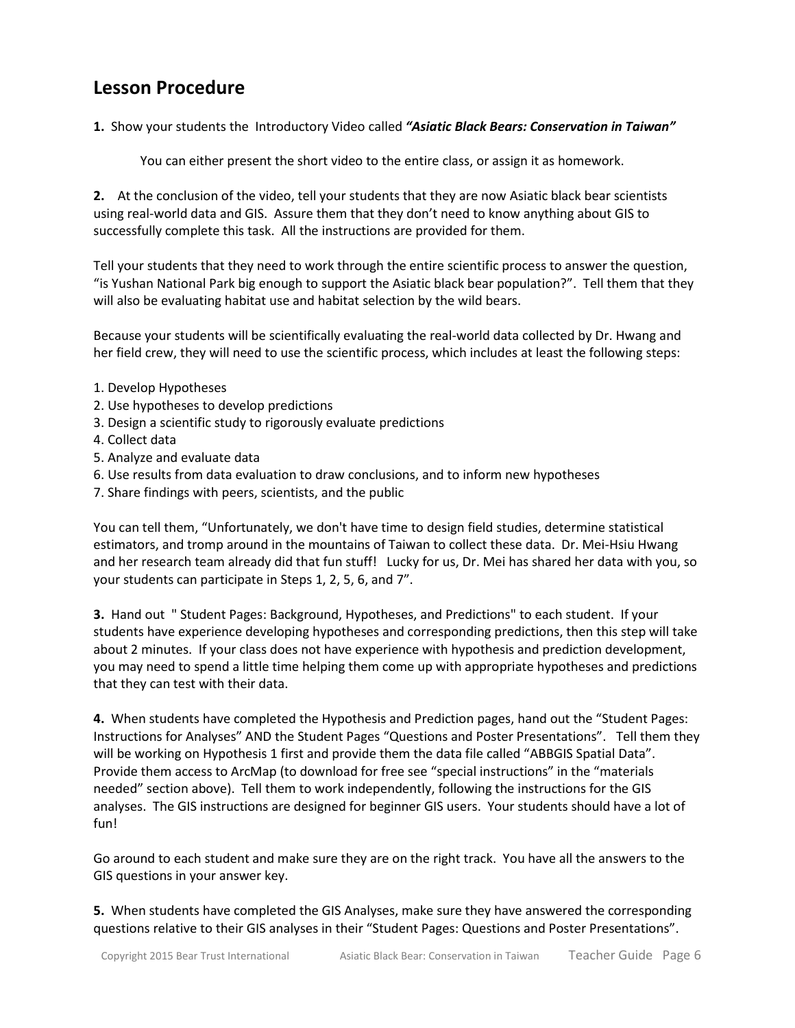# **Lesson Procedure**

**1.** Show your students the Introductory Video called *"Asiatic Black Bears: Conservation in Taiwan"*

You can either present the short video to the entire class, or assign it as homework.

**2.** At the conclusion of the video, tell your students that they are now Asiatic black bear scientists using real-world data and GIS. Assure them that they don't need to know anything about GIS to successfully complete this task. All the instructions are provided for them.

Tell your students that they need to work through the entire scientific process to answer the question, "is Yushan National Park big enough to support the Asiatic black bear population?". Tell them that they will also be evaluating habitat use and habitat selection by the wild bears.

Because your students will be scientifically evaluating the real-world data collected by Dr. Hwang and her field crew, they will need to use the scientific process, which includes at least the following steps:

- 1. Develop Hypotheses
- 2. Use hypotheses to develop predictions
- 3. Design a scientific study to rigorously evaluate predictions
- 4. Collect data
- 5. Analyze and evaluate data
- 6. Use results from data evaluation to draw conclusions, and to inform new hypotheses
- 7. Share findings with peers, scientists, and the public

You can tell them, "Unfortunately, we don't have time to design field studies, determine statistical estimators, and tromp around in the mountains of Taiwan to collect these data. Dr. Mei-Hsiu Hwang and her research team already did that fun stuff! Lucky for us, Dr. Mei has shared her data with you, so your students can participate in Steps 1, 2, 5, 6, and 7".

**3.** Hand out " Student Pages: Background, Hypotheses, and Predictions" to each student. If your students have experience developing hypotheses and corresponding predictions, then this step will take about 2 minutes. If your class does not have experience with hypothesis and prediction development, you may need to spend a little time helping them come up with appropriate hypotheses and predictions that they can test with their data.

**4.** When students have completed the Hypothesis and Prediction pages, hand out the "Student Pages: Instructions for Analyses" AND the Student Pages "Questions and Poster Presentations". Tell them they will be working on Hypothesis 1 first and provide them the data file called "ABBGIS Spatial Data". Provide them access to ArcMap (to download for free see "special instructions" in the "materials needed" section above). Tell them to work independently, following the instructions for the GIS analyses. The GIS instructions are designed for beginner GIS users. Your students should have a lot of fun!

Go around to each student and make sure they are on the right track. You have all the answers to the GIS questions in your answer key.

**5.** When students have completed the GIS Analyses, make sure they have answered the corresponding questions relative to their GIS analyses in their "Student Pages: Questions and Poster Presentations".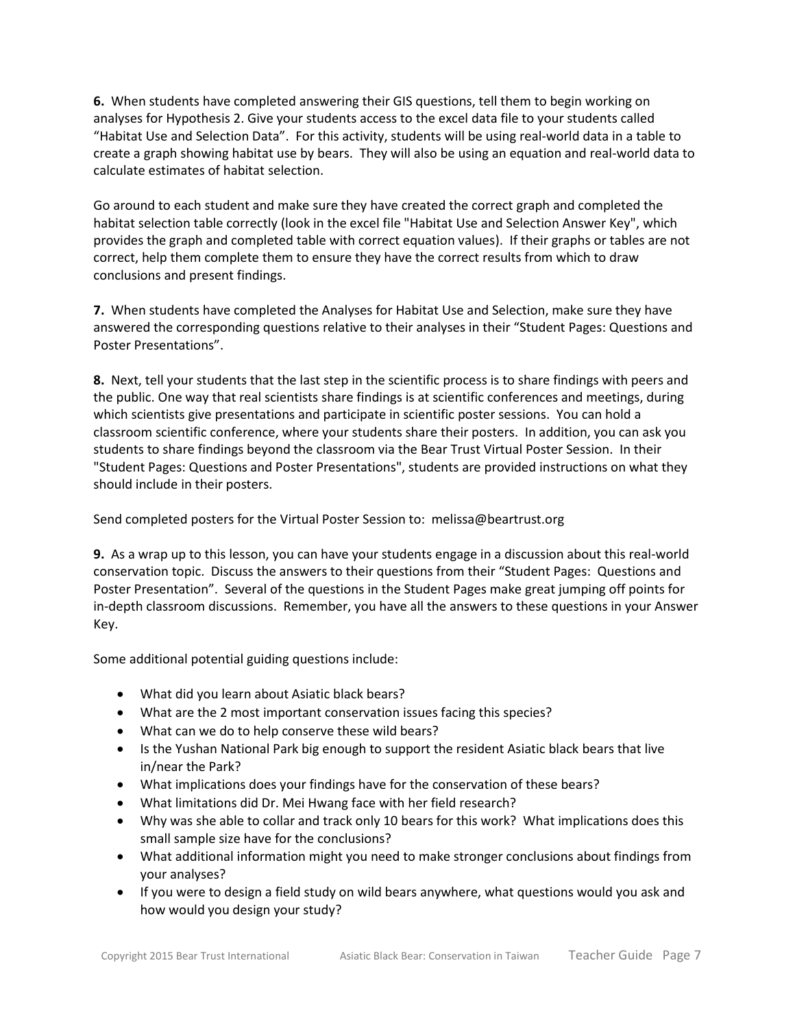**6.** When students have completed answering their GIS questions, tell them to begin working on analyses for Hypothesis 2. Give your students access to the excel data file to your students called "Habitat Use and Selection Data". For this activity, students will be using real-world data in a table to create a graph showing habitat use by bears. They will also be using an equation and real-world data to calculate estimates of habitat selection.

Go around to each student and make sure they have created the correct graph and completed the habitat selection table correctly (look in the excel file "Habitat Use and Selection Answer Key", which provides the graph and completed table with correct equation values). If their graphs or tables are not correct, help them complete them to ensure they have the correct results from which to draw conclusions and present findings.

**7.** When students have completed the Analyses for Habitat Use and Selection, make sure they have answered the corresponding questions relative to their analyses in their "Student Pages: Questions and Poster Presentations".

**8.** Next, tell your students that the last step in the scientific process is to share findings with peers and the public. One way that real scientists share findings is at scientific conferences and meetings, during which scientists give presentations and participate in scientific poster sessions. You can hold a classroom scientific conference, where your students share their posters. In addition, you can ask you students to share findings beyond the classroom via the Bear Trust Virtual Poster Session. In their "Student Pages: Questions and Poster Presentations", students are provided instructions on what they should include in their posters.

Send completed posters for the Virtual Poster Session to: melissa@beartrust.org

**9.** As a wrap up to this lesson, you can have your students engage in a discussion about this real-world conservation topic. Discuss the answers to their questions from their "Student Pages: Questions and Poster Presentation". Several of the questions in the Student Pages make great jumping off points for in-depth classroom discussions. Remember, you have all the answers to these questions in your Answer Key.

Some additional potential guiding questions include:

- What did you learn about Asiatic black bears?
- What are the 2 most important conservation issues facing this species?
- What can we do to help conserve these wild bears?
- Is the Yushan National Park big enough to support the resident Asiatic black bears that live in/near the Park?
- What implications does your findings have for the conservation of these bears?
- What limitations did Dr. Mei Hwang face with her field research?
- Why was she able to collar and track only 10 bears for this work? What implications does this small sample size have for the conclusions?
- What additional information might you need to make stronger conclusions about findings from your analyses?
- If you were to design a field study on wild bears anywhere, what questions would you ask and how would you design your study?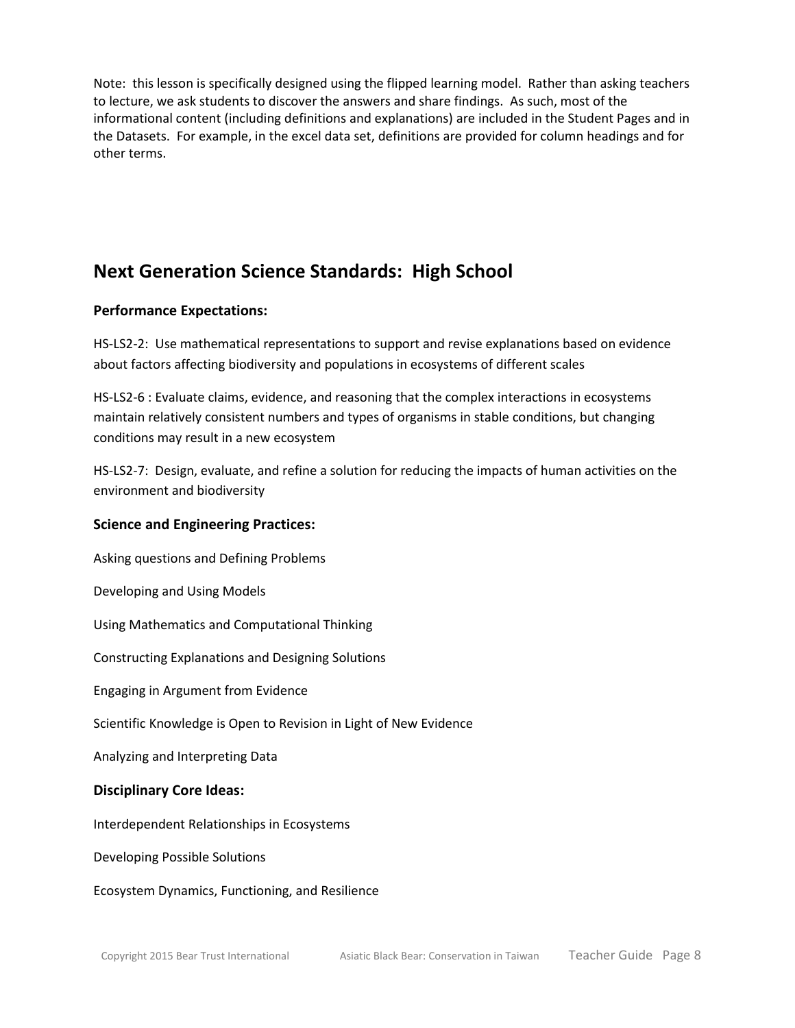Note: this lesson is specifically designed using the flipped learning model. Rather than asking teachers to lecture, we ask students to discover the answers and share findings. As such, most of the informational content (including definitions and explanations) are included in the Student Pages and in the Datasets. For example, in the excel data set, definitions are provided for column headings and for other terms.

# **Next Generation Science Standards: High School**

### **Performance Expectations:**

HS-LS2-2: Use mathematical representations to support and revise explanations based on evidence about factors affecting biodiversity and populations in ecosystems of different scales

HS-LS2-6 : Evaluate claims, evidence, and reasoning that the complex interactions in ecosystems maintain relatively consistent numbers and types of organisms in stable conditions, but changing conditions may result in a new ecosystem

HS-LS2-7: Design, evaluate, and refine a solution for reducing the impacts of human activities on the environment and biodiversity

### **Science and Engineering Practices:**

Asking questions and Defining Problems

Developing and Using Models

Using Mathematics and Computational Thinking

Constructing Explanations and Designing Solutions

Engaging in Argument from Evidence

Scientific Knowledge is Open to Revision in Light of New Evidence

Analyzing and Interpreting Data

### **Disciplinary Core Ideas:**

Interdependent Relationships in Ecosystems

Developing Possible Solutions

Ecosystem Dynamics, Functioning, and Resilience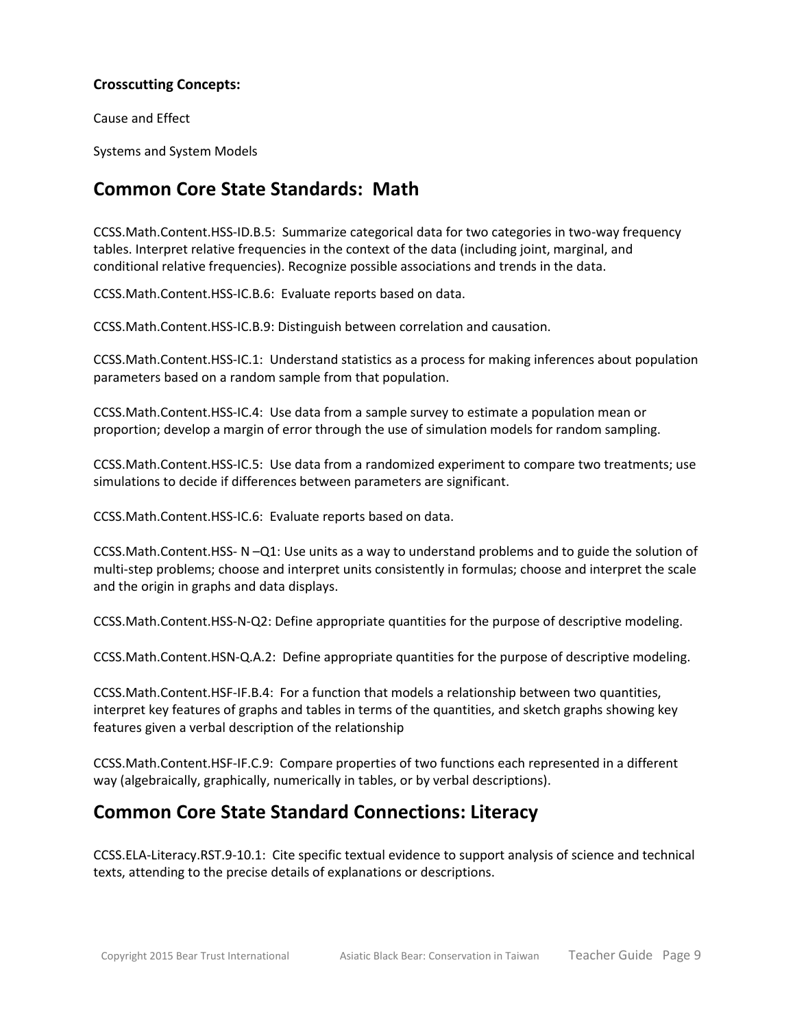### **Crosscutting Concepts:**

Cause and Effect

Systems and System Models

### **Common Core State Standards: Math**

[CCSS.Math.Content.HSS-ID.B.5:](http://www.corestandards.org/Math/Content/HSS/ID/B/5) Summarize categorical data for two categories in two-way frequency tables. Interpret relative frequencies in the context of the data (including joint, marginal, and conditional relative frequencies). Recognize possible associations and trends in the data.

[CCSS.Math.Content.HSS-IC.B.6:](http://www.corestandards.org/Math/Content/HSS/IC/B/6) Evaluate reports based on data.

[CCSS.Math.Content.HSS-IC.B.9:](http://www.corestandards.org/Math/Content/HSS/IC/B/6) Distinguish between correlation and causation.

CCSS.Math.Content.HSS-IC.1: Understand statistics as a process for making inferences about population parameters based on a random sample from that population.

CCSS.Math.Content.HSS-IC.4: Use data from a sample survey to estimate a population mean or proportion; develop a margin of error through the use of simulation models for random sampling.

CCSS.Math.Content.HSS-IC.5: Use data from a randomized experiment to compare two treatments; use simulations to decide if differences between parameters are significant.

CCSS.Math.Content.HSS-IC.6: Evaluate reports based on data.

CCSS.Math.Content.HSS- N –Q1: Use units as a way to understand problems and to guide the solution of multi-step problems; choose and interpret units consistently in formulas; choose and interpret the scale and the origin in graphs and data displays.

CCSS.Math.Content.HSS-N-Q2: Define appropriate quantities for the purpose of descriptive modeling.

[CCSS.Math.Content.HSN-Q.A.2:](http://www.corestandards.org/Math/Content/HSN/Q/A/2) Define appropriate quantities for the purpose of descriptive modeling.

[CCSS.Math.Content.HSF-IF.B.4:](http://www.corestandards.org/Math/Content/HSF/IF/B/4) For a function that models a relationship between two quantities, interpret key features of graphs and tables in terms of the quantities, and sketch graphs showing key features given a verbal description of the relationship

[CCSS.Math.Content.HSF-IF.C.9:](http://www.corestandards.org/Math/Content/HSF/IF/C/9) Compare properties of two functions each represented in a different way (algebraically, graphically, numerically in tables, or by verbal descriptions).

# **Common Core State Standard Connections: Literacy**

[CCSS.ELA-Literacy.RST.9-10.1:](http://www.corestandards.org/ELA-Literacy/RST/9-10/1/) Cite specific textual evidence to support analysis of science and technical texts, attending to the precise details of explanations or descriptions.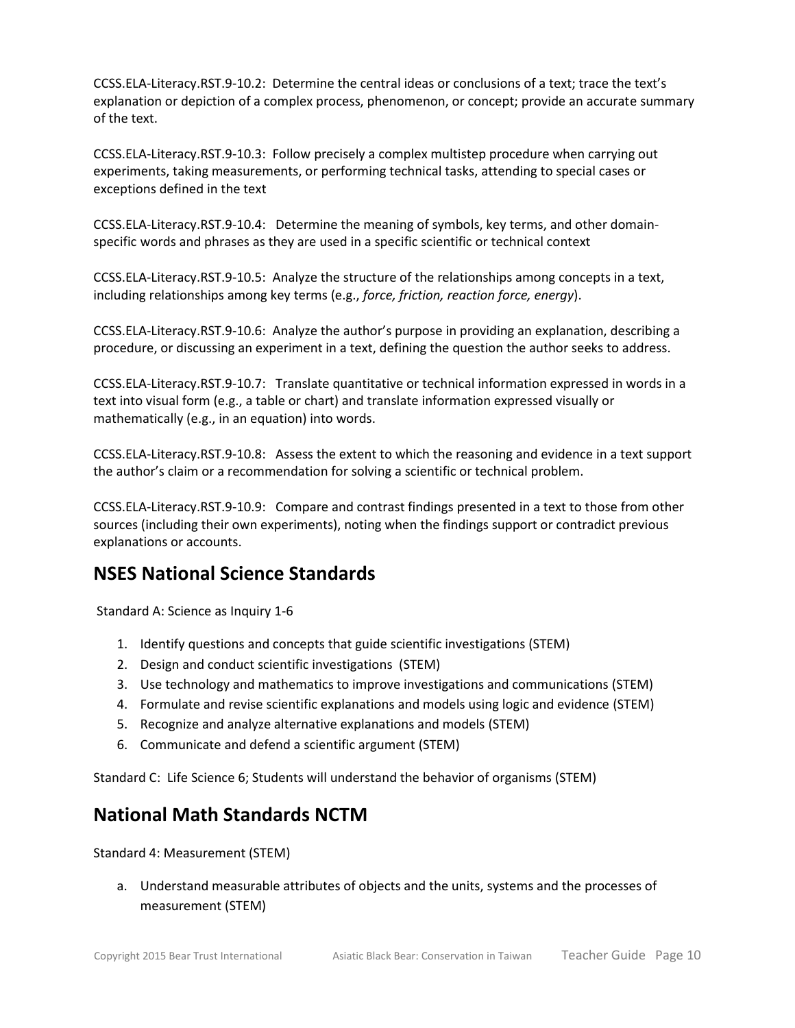[CCSS.ELA-Literacy.RST.9-10.2:](http://www.corestandards.org/ELA-Literacy/RST/9-10/2/) Determine the central ideas or conclusions of a text; trace the text's explanation or depiction of a complex process, phenomenon, or concept; provide an accurate summary of the text.

[CCSS.ELA-Literacy.RST.9-10.3:](http://www.corestandards.org/ELA-Literacy/RST/9-10/3/) Follow precisely a complex multistep procedure when carrying out experiments, taking measurements, or performing technical tasks, attending to special cases or exceptions defined in the text

[CCSS.ELA-Literacy.RST.9-10.4:](http://www.corestandards.org/ELA-Literacy/RST/9-10/4/) Determine the meaning of symbols, key terms, and other domainspecific words and phrases as they are used in a specific scientific or technical context

[CCSS.ELA-Literacy.RST.9-10.5:](http://www.corestandards.org/ELA-Literacy/RST/9-10/5/) Analyze the structure of the relationships among concepts in a text, including relationships among key terms (e.g., *force, friction, reaction force, energy*).

[CCSS.ELA-Literacy.RST.9-10.6:](http://www.corestandards.org/ELA-Literacy/RST/9-10/6/) Analyze the author's purpose in providing an explanation, describing a procedure, or discussing an experiment in a text, defining the question the author seeks to address.

[CCSS.ELA-Literacy.RST.9-10.7:](http://www.corestandards.org/ELA-Literacy/RST/9-10/7/) Translate quantitative or technical information expressed in words in a text into visual form (e.g., a table or chart) and translate information expressed visually or mathematically (e.g., in an equation) into words.

[CCSS.ELA-Literacy.RST.9-10.8:](http://www.corestandards.org/ELA-Literacy/RST/9-10/8/) Assess the extent to which the reasoning and evidence in a text support the author's claim or a recommendation for solving a scientific or technical problem.

[CCSS.ELA-Literacy.RST.9-10.9:](http://www.corestandards.org/ELA-Literacy/RST/9-10/9/) Compare and contrast findings presented in a text to those from other sources (including their own experiments), noting when the findings support or contradict previous explanations or accounts.

# **NSES National Science Standards**

Standard A: Science as Inquiry 1-6

- 1. Identify questions and concepts that guide scientific investigations (STEM)
- 2. Design and conduct scientific investigations (STEM)
- 3. Use technology and mathematics to improve investigations and communications (STEM)
- 4. Formulate and revise scientific explanations and models using logic and evidence (STEM)
- 5. Recognize and analyze alternative explanations and models (STEM)
- 6. Communicate and defend a scientific argument (STEM)

Standard C: Life Science 6; Students will understand the behavior of organisms (STEM)

### **National Math Standards NCTM**

Standard 4: Measurement (STEM)

a. Understand measurable attributes of objects and the units, systems and the processes of measurement (STEM)